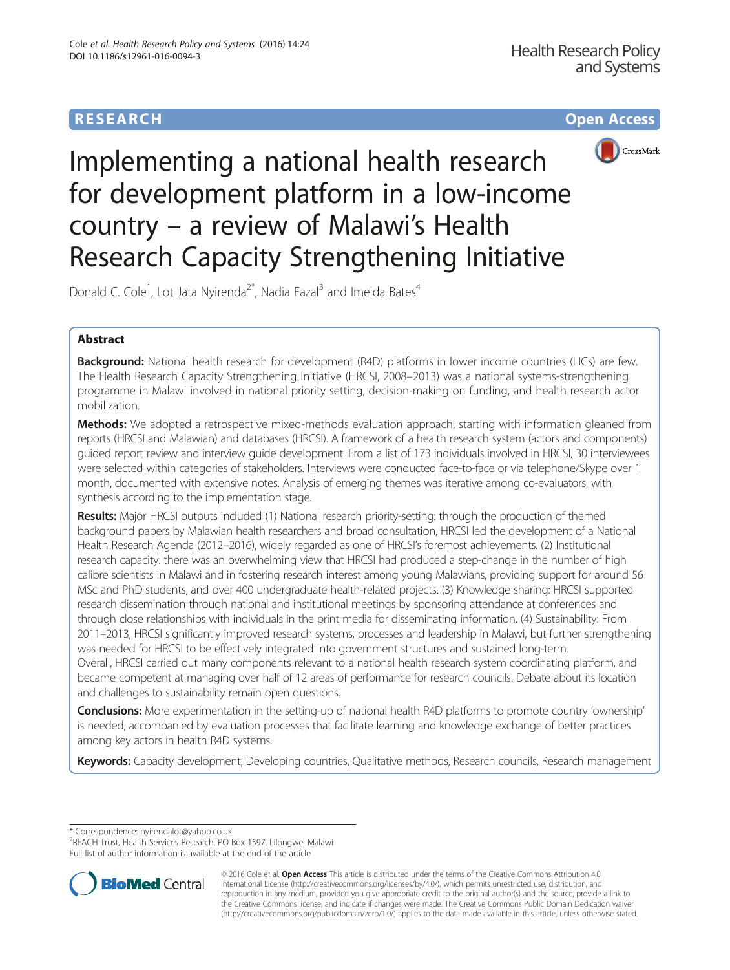# **RESEARCH CHE Open Access**



Implementing a national health research for development platform in a low-income country – a review of Malawi's Health Research Capacity Strengthening Initiative

Donald C. Cole<sup>1</sup>, Lot Jata Nyirenda<sup>2\*</sup>, Nadia Fazal<sup>3</sup> and Imelda Bates<sup>4</sup>

# Abstract

**Background:** National health research for development (R4D) platforms in lower income countries (LICs) are few. The Health Research Capacity Strengthening Initiative (HRCSI, 2008–2013) was a national systems-strengthening programme in Malawi involved in national priority setting, decision-making on funding, and health research actor mobilization.

Methods: We adopted a retrospective mixed-methods evaluation approach, starting with information gleaned from reports (HRCSI and Malawian) and databases (HRCSI). A framework of a health research system (actors and components) guided report review and interview guide development. From a list of 173 individuals involved in HRCSI, 30 interviewees were selected within categories of stakeholders. Interviews were conducted face-to-face or via telephone/Skype over 1 month, documented with extensive notes. Analysis of emerging themes was iterative among co-evaluators, with synthesis according to the implementation stage.

Results: Major HRCSI outputs included (1) National research priority-setting: through the production of themed background papers by Malawian health researchers and broad consultation, HRCSI led the development of a National Health Research Agenda (2012–2016), widely regarded as one of HRCSI's foremost achievements. (2) Institutional research capacity: there was an overwhelming view that HRCSI had produced a step-change in the number of high calibre scientists in Malawi and in fostering research interest among young Malawians, providing support for around 56 MSc and PhD students, and over 400 undergraduate health-related projects. (3) Knowledge sharing: HRCSI supported research dissemination through national and institutional meetings by sponsoring attendance at conferences and through close relationships with individuals in the print media for disseminating information. (4) Sustainability: From 2011–2013, HRCSI significantly improved research systems, processes and leadership in Malawi, but further strengthening was needed for HRCSI to be effectively integrated into government structures and sustained long-term. Overall, HRCSI carried out many components relevant to a national health research system coordinating platform, and became competent at managing over half of 12 areas of performance for research councils. Debate about its location and challenges to sustainability remain open questions.

**Conclusions:** More experimentation in the setting-up of national health R4D platforms to promote country 'ownership' is needed, accompanied by evaluation processes that facilitate learning and knowledge exchange of better practices among key actors in health R4D systems.

Keywords: Capacity development, Developing countries, Qualitative methods, Research councils, Research management

\* Correspondence: [nyirendalot@yahoo.co.uk](mailto:nyirendalot@yahoo.co.uk) <sup>2</sup>

<sup>2</sup>REACH Trust, Health Services Research, PO Box 1597, Lilongwe, Malawi Full list of author information is available at the end of the article



© 2016 Cole et al. Open Access This article is distributed under the terms of the Creative Commons Attribution 4.0 International License [\(http://creativecommons.org/licenses/by/4.0/](http://creativecommons.org/licenses/by/4.0/)), which permits unrestricted use, distribution, and reproduction in any medium, provided you give appropriate credit to the original author(s) and the source, provide a link to the Creative Commons license, and indicate if changes were made. The Creative Commons Public Domain Dedication waiver [\(http://creativecommons.org/publicdomain/zero/1.0/](http://creativecommons.org/publicdomain/zero/1.0/)) applies to the data made available in this article, unless otherwise stated.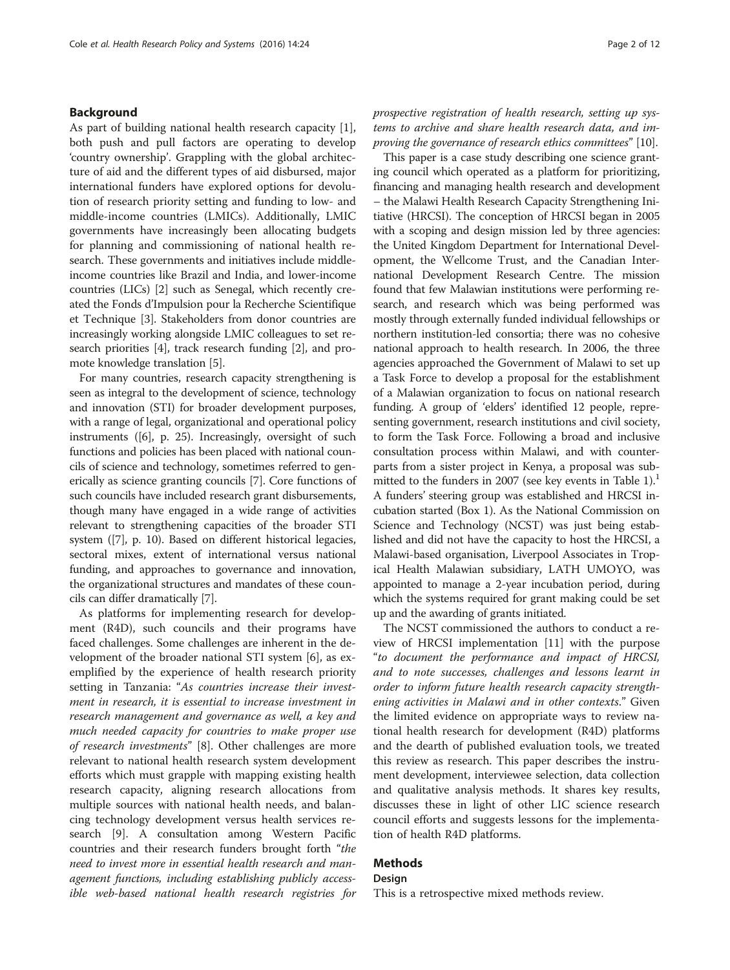### Background

As part of building national health research capacity [\[1](#page-10-0)], both push and pull factors are operating to develop 'country ownership'. Grappling with the global architecture of aid and the different types of aid disbursed, major international funders have explored options for devolution of research priority setting and funding to low- and middle-income countries (LMICs). Additionally, LMIC governments have increasingly been allocating budgets for planning and commissioning of national health research. These governments and initiatives include middleincome countries like Brazil and India, and lower-income countries (LICs) [\[2](#page-10-0)] such as Senegal, which recently created the Fonds d'Impulsion pour la Recherche Scientifique et Technique [[3\]](#page-11-0). Stakeholders from donor countries are increasingly working alongside LMIC colleagues to set research priorities [[4](#page-11-0)], track research funding [\[2\]](#page-10-0), and promote knowledge translation [[5](#page-11-0)].

For many countries, research capacity strengthening is seen as integral to the development of science, technology and innovation (STI) for broader development purposes, with a range of legal, organizational and operational policy instruments ([\[6\]](#page-11-0), p. 25). Increasingly, oversight of such functions and policies has been placed with national councils of science and technology, sometimes referred to generically as science granting councils [[7](#page-11-0)]. Core functions of such councils have included research grant disbursements, though many have engaged in a wide range of activities relevant to strengthening capacities of the broader STI system ([\[7\]](#page-11-0), p. 10). Based on different historical legacies, sectoral mixes, extent of international versus national funding, and approaches to governance and innovation, the organizational structures and mandates of these councils can differ dramatically [\[7\]](#page-11-0).

As platforms for implementing research for development (R4D), such councils and their programs have faced challenges. Some challenges are inherent in the development of the broader national STI system [[6\]](#page-11-0), as exemplified by the experience of health research priority setting in Tanzania: "As countries increase their investment in research, it is essential to increase investment in research management and governance as well, a key and much needed capacity for countries to make proper use of research investments" [[8\]](#page-11-0). Other challenges are more relevant to national health research system development efforts which must grapple with mapping existing health research capacity, aligning research allocations from multiple sources with national health needs, and balancing technology development versus health services research [[9](#page-11-0)]. A consultation among Western Pacific countries and their research funders brought forth "the need to invest more in essential health research and management functions, including establishing publicly accessible web-based national health research registries for prospective registration of health research, setting up systems to archive and share health research data, and improving the governance of research ethics committees" [\[10\]](#page-11-0).

This paper is a case study describing one science granting council which operated as a platform for prioritizing, financing and managing health research and development – the Malawi Health Research Capacity Strengthening Initiative (HRCSI). The conception of HRCSI began in 2005 with a scoping and design mission led by three agencies: the United Kingdom Department for International Development, the Wellcome Trust, and the Canadian International Development Research Centre. The mission found that few Malawian institutions were performing research, and research which was being performed was mostly through externally funded individual fellowships or northern institution-led consortia; there was no cohesive national approach to health research. In 2006, the three agencies approached the Government of Malawi to set up a Task Force to develop a proposal for the establishment of a Malawian organization to focus on national research funding. A group of 'elders' identified 12 people, representing government, research institutions and civil society, to form the Task Force. Following a broad and inclusive consultation process within Malawi, and with counterparts from a sister project in Kenya, a proposal was submitted to the funders in 2007 (see key events in Table  $1$ ).<sup>1</sup> A funders' steering group was established and HRCSI incubation started (Box 1). As the National Commission on Science and Technology (NCST) was just being established and did not have the capacity to host the HRCSI, a Malawi-based organisation, Liverpool Associates in Tropical Health Malawian subsidiary, LATH UMOYO, was appointed to manage a 2-year incubation period, during which the systems required for grant making could be set up and the awarding of grants initiated.

The NCST commissioned the authors to conduct a review of HRCSI implementation [\[11](#page-11-0)] with the purpose "to document the performance and impact of HRCSI, and to note successes, challenges and lessons learnt in order to inform future health research capacity strengthening activities in Malawi and in other contexts." Given the limited evidence on appropriate ways to review national health research for development (R4D) platforms and the dearth of published evaluation tools, we treated this review as research. This paper describes the instrument development, interviewee selection, data collection and qualitative analysis methods. It shares key results, discusses these in light of other LIC science research council efforts and suggests lessons for the implementation of health R4D platforms.

# Methods

# Design

This is a retrospective mixed methods review.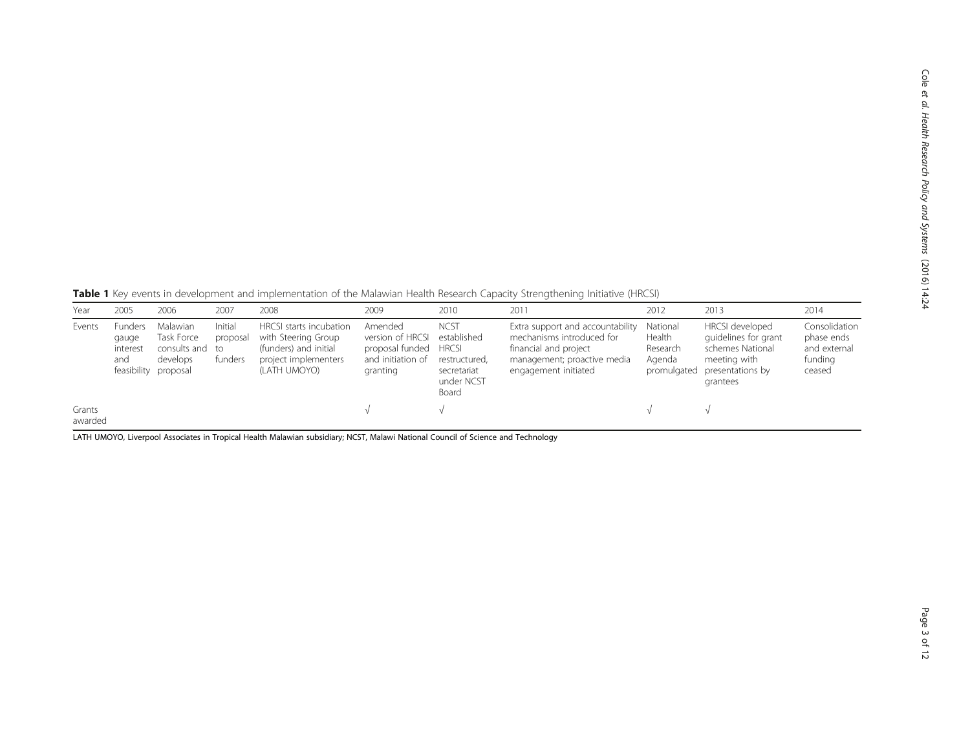<span id="page-2-0"></span>Table 1 Key events in development and implementation of the Malawian Health Research Capacity Strengthening Initiative (HRCSI)

| Year              | 2005                                       | 2006                                                                       | 2007                                  | 2008                                                                                                            | 2009                                                                            | 2010                                                                                              | 2011                                                                                                                                          | 2012                                                    | 2013                                                                                                        | 2014                                                             |
|-------------------|--------------------------------------------|----------------------------------------------------------------------------|---------------------------------------|-----------------------------------------------------------------------------------------------------------------|---------------------------------------------------------------------------------|---------------------------------------------------------------------------------------------------|-----------------------------------------------------------------------------------------------------------------------------------------------|---------------------------------------------------------|-------------------------------------------------------------------------------------------------------------|------------------------------------------------------------------|
| Events            | <b>Funders</b><br>gauge<br>interest<br>and | Malawian<br>Task Force<br>consults and<br>develops<br>feasibility proposal | Initial<br>proposal<br>to.<br>funders | HRCSI starts incubation<br>with Steering Group<br>(funders) and initial<br>project implementers<br>(LATH UMOYO) | Amended<br>version of HRCSI<br>proposal funded<br>and initiation of<br>granting | <b>NCST</b><br>established<br><b>HRCSI</b><br>restructured,<br>secretariat<br>under NCST<br>Board | Extra support and accountability<br>mechanisms introduced for<br>financial and project<br>management; proactive media<br>engagement initiated | National<br>Health<br>Research<br>Agenda<br>promulgated | HRCSI developed<br>quidelines for grant<br>schemes National<br>meeting with<br>presentations by<br>grantees | Consolidation<br>phase ends<br>and external<br>funding<br>ceased |
| Grants<br>awarded |                                            |                                                                            |                                       |                                                                                                                 |                                                                                 |                                                                                                   |                                                                                                                                               |                                                         |                                                                                                             |                                                                  |

LATH UMOYO, Liverpool Associates in Tropical Health Malawian subsidiary; NCST, Malawi National Council of Science and Technology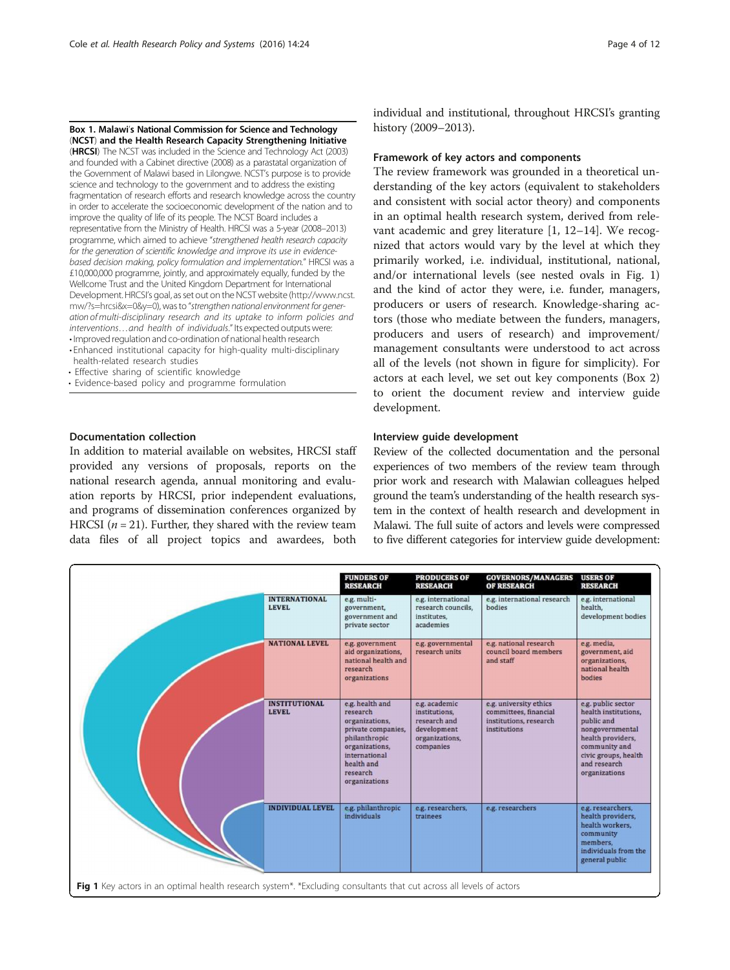Box 1. Malawi's National Commission for Science and Technology (NCST) and the Health Research Capacity Strengthening Initiative (HRCSI) The NCST was included in the Science and Technology Act (2003) and founded with a Cabinet directive (2008) as a parastatal organization of the Government of Malawi based in Lilongwe. NCST's purpose is to provide science and technology to the government and to address the existing fragmentation of research efforts and research knowledge across the country in order to accelerate the socioeconomic development of the nation and to improve the quality of life of its people. The NCST Board includes a representative from the Ministry of Health. HRCSI was a 5-year (2008–2013) programme, which aimed to achieve "strengthened health research capacity for the generation of scientific knowledge and improve its use in evidencebased decision making, policy formulation and implementation." HRCSI was a £10,000,000 programme, jointly, and approximately equally, funded by the Wellcome Trust and the United Kingdom Department for International Development. HRCSI's goal, as set out on the NCST website ([http://www.ncst.](http://www.ncst.mw/?s=hrcsi&x=0&y=0) [mw/?s=hrcsi&x=0&y=0](http://www.ncst.mw/?s=hrcsi&x=0&y=0)), was to "strengthen national environment for generation of multi-disciplinary research and its uptake to inform policies and interventions…and health of individuals." Its expected outputs were: • Improved regulation and co-ordination of national health research

- Enhanced institutional capacity for high-quality multi-disciplinary health-related research studies
- Effective sharing of scientific knowledge
- Evidence-based policy and programme formulation

## Documentation collection

In addition to material available on websites, HRCSI staff provided any versions of proposals, reports on the national research agenda, annual monitoring and evaluation reports by HRCSI, prior independent evaluations, and programs of dissemination conferences organized by HRCSI ( $n = 21$ ). Further, they shared with the review team data files of all project topics and awardees, both

individual and institutional, throughout HRCSI's granting history (2009–2013).

#### Framework of key actors and components

The review framework was grounded in a theoretical understanding of the key actors (equivalent to stakeholders and consistent with social actor theory) and components in an optimal health research system, derived from relevant academic and grey literature [\[1,](#page-10-0) [12](#page-11-0)–[14](#page-11-0)]. We recognized that actors would vary by the level at which they primarily worked, i.e. individual, institutional, national, and/or international levels (see nested ovals in Fig. 1) and the kind of actor they were, i.e. funder, managers, producers or users of research. Knowledge-sharing actors (those who mediate between the funders, managers, producers and users of research) and improvement/ management consultants were understood to act across all of the levels (not shown in figure for simplicity). For actors at each level, we set out key components (Box 2) to orient the document review and interview guide development.

#### Interview guide development

Review of the collected documentation and the personal experiences of two members of the review team through prior work and research with Malawian colleagues helped ground the team's understanding of the health research system in the context of health research and development in Malawi. The full suite of actors and levels were compressed to five different categories for interview guide development:

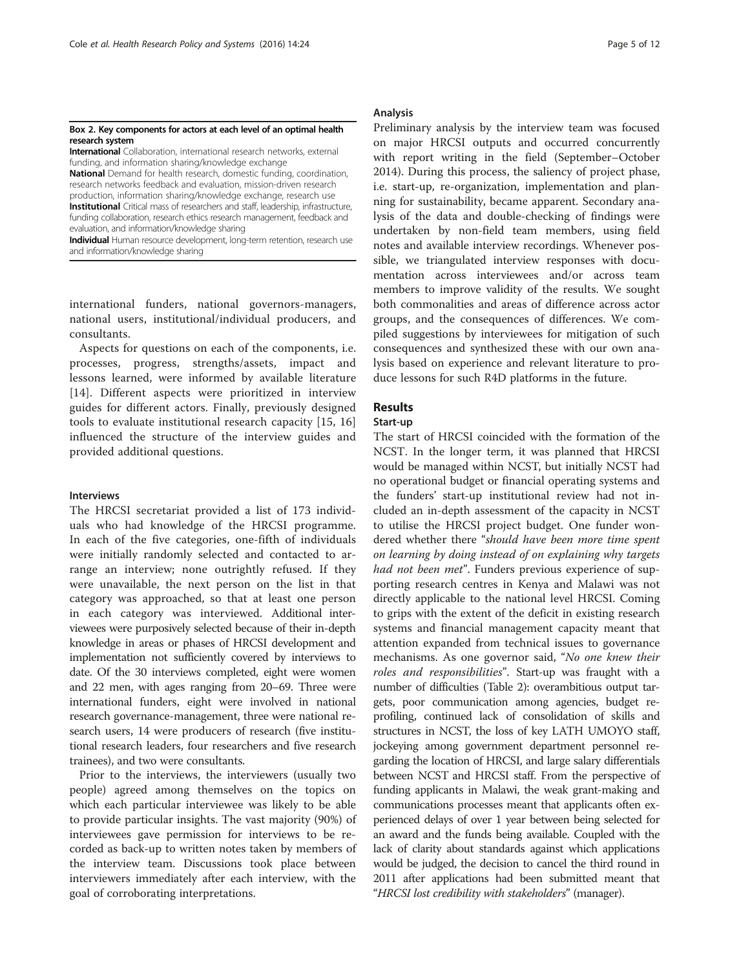#### Box 2. Key components for actors at each level of an optimal health research system

International Collaboration, international research networks, external funding, and information sharing/knowledge exchange National Demand for health research, domestic funding, coordination, research networks feedback and evaluation, mission-driven research production, information sharing/knowledge exchange, research use Institutional Critical mass of researchers and staff, leadership, infrastructure, funding collaboration, research ethics research management, feedback and evaluation, and information/knowledge sharing

**Individual** Human resource development, long-term retention, research use and information/knowledge sharing

international funders, national governors-managers, national users, institutional/individual producers, and consultants.

Aspects for questions on each of the components, i.e. processes, progress, strengths/assets, impact and lessons learned, were informed by available literature [[14\]](#page-11-0). Different aspects were prioritized in interview guides for different actors. Finally, previously designed tools to evaluate institutional research capacity [[15, 16](#page-11-0)] influenced the structure of the interview guides and provided additional questions.

### Interviews

The HRCSI secretariat provided a list of 173 individuals who had knowledge of the HRCSI programme. In each of the five categories, one-fifth of individuals were initially randomly selected and contacted to arrange an interview; none outrightly refused. If they were unavailable, the next person on the list in that category was approached, so that at least one person in each category was interviewed. Additional interviewees were purposively selected because of their in-depth knowledge in areas or phases of HRCSI development and implementation not sufficiently covered by interviews to date. Of the 30 interviews completed, eight were women and 22 men, with ages ranging from 20–69. Three were international funders, eight were involved in national research governance-management, three were national research users, 14 were producers of research (five institutional research leaders, four researchers and five research trainees), and two were consultants.

Prior to the interviews, the interviewers (usually two people) agreed among themselves on the topics on which each particular interviewee was likely to be able to provide particular insights. The vast majority (90%) of interviewees gave permission for interviews to be recorded as back-up to written notes taken by members of the interview team. Discussions took place between interviewers immediately after each interview, with the goal of corroborating interpretations.

### Analysis

Preliminary analysis by the interview team was focused on major HRCSI outputs and occurred concurrently with report writing in the field (September–October 2014). During this process, the saliency of project phase, i.e. start-up, re-organization, implementation and planning for sustainability, became apparent. Secondary analysis of the data and double-checking of findings were undertaken by non-field team members, using field notes and available interview recordings. Whenever possible, we triangulated interview responses with documentation across interviewees and/or across team members to improve validity of the results. We sought both commonalities and areas of difference across actor groups, and the consequences of differences. We compiled suggestions by interviewees for mitigation of such consequences and synthesized these with our own analysis based on experience and relevant literature to produce lessons for such R4D platforms in the future.

### Results

#### Start-up

The start of HRCSI coincided with the formation of the NCST. In the longer term, it was planned that HRCSI would be managed within NCST, but initially NCST had no operational budget or financial operating systems and the funders' start-up institutional review had not included an in-depth assessment of the capacity in NCST to utilise the HRCSI project budget. One funder wondered whether there "should have been more time spent on learning by doing instead of on explaining why targets had not been met". Funders previous experience of supporting research centres in Kenya and Malawi was not directly applicable to the national level HRCSI. Coming to grips with the extent of the deficit in existing research systems and financial management capacity meant that attention expanded from technical issues to governance mechanisms. As one governor said, "No one knew their roles and responsibilities". Start-up was fraught with a number of difficulties (Table [2\)](#page-5-0): overambitious output targets, poor communication among agencies, budget reprofiling, continued lack of consolidation of skills and structures in NCST, the loss of key LATH UMOYO staff, jockeying among government department personnel regarding the location of HRCSI, and large salary differentials between NCST and HRCSI staff. From the perspective of funding applicants in Malawi, the weak grant-making and communications processes meant that applicants often experienced delays of over 1 year between being selected for an award and the funds being available. Coupled with the lack of clarity about standards against which applications would be judged, the decision to cancel the third round in 2011 after applications had been submitted meant that "HRCSI lost credibility with stakeholders" (manager).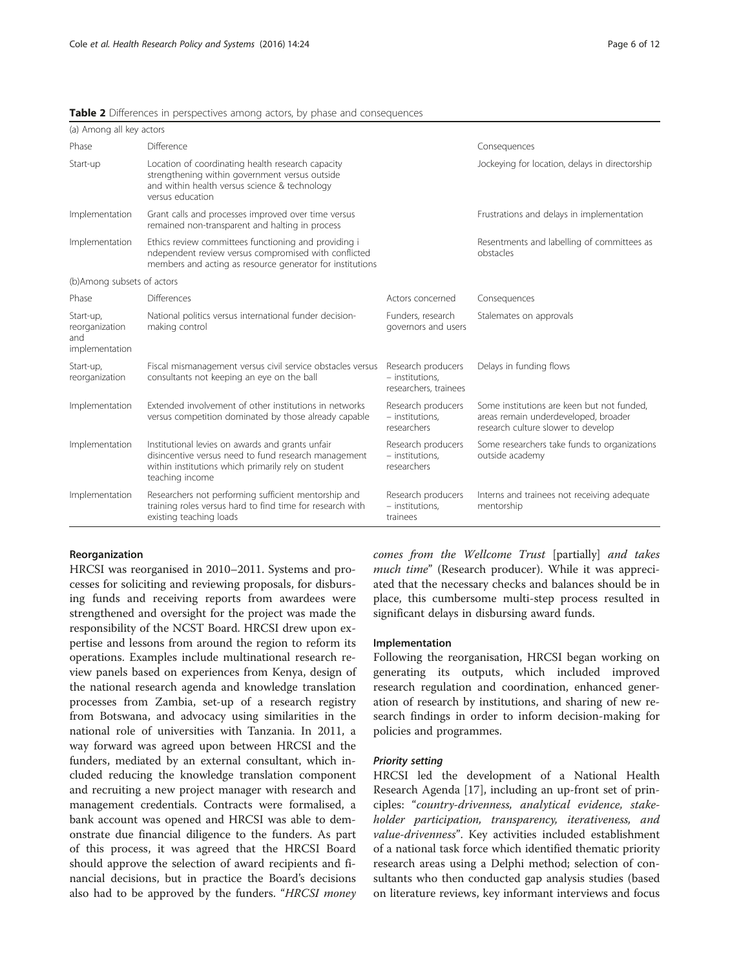#### <span id="page-5-0"></span>Table 2 Differences in perspectives among actors, by phase and consequences

| (a) Among all key actors                             |                                                                                                                                                                                    |                                                                |                                                                                                                          |  |  |  |  |
|------------------------------------------------------|------------------------------------------------------------------------------------------------------------------------------------------------------------------------------------|----------------------------------------------------------------|--------------------------------------------------------------------------------------------------------------------------|--|--|--|--|
| Phase                                                | Difference                                                                                                                                                                         |                                                                | Consequences                                                                                                             |  |  |  |  |
| Start-up                                             | Location of coordinating health research capacity<br>strengthening within government versus outside<br>and within health versus science & technology<br>versus education           |                                                                | Jockeying for location, delays in directorship                                                                           |  |  |  |  |
| Implementation                                       | Grant calls and processes improved over time versus<br>remained non-transparent and halting in process                                                                             |                                                                | Frustrations and delays in implementation                                                                                |  |  |  |  |
| Implementation                                       | Ethics review committees functioning and providing i<br>ndependent review versus compromised with conflicted<br>members and acting as resource generator for institutions          |                                                                | Resentments and labelling of committees as<br>obstacles                                                                  |  |  |  |  |
| (b)Among subsets of actors                           |                                                                                                                                                                                    |                                                                |                                                                                                                          |  |  |  |  |
| Phase                                                | <b>Differences</b>                                                                                                                                                                 | Actors concerned                                               | Consequences                                                                                                             |  |  |  |  |
| Start-up,<br>reorganization<br>and<br>implementation | National politics versus international funder decision-<br>making control                                                                                                          | Funders, research<br>governors and users                       | Stalemates on approvals                                                                                                  |  |  |  |  |
| Start-up,<br>reorganization                          | Fiscal mismanagement versus civil service obstacles versus<br>consultants not keeping an eye on the ball                                                                           | Research producers<br>- institutions.<br>researchers, trainees | Delays in funding flows                                                                                                  |  |  |  |  |
| Implementation                                       | Extended involvement of other institutions in networks<br>versus competition dominated by those already capable                                                                    | Research producers<br>- institutions,<br>researchers           | Some institutions are keen but not funded,<br>areas remain underdeveloped, broader<br>research culture slower to develop |  |  |  |  |
| Implementation                                       | Institutional levies on awards and grants unfair<br>disincentive versus need to fund research management<br>within institutions which primarily rely on student<br>teaching income | Research producers<br>- institutions,<br>researchers           | Some researchers take funds to organizations<br>outside academy                                                          |  |  |  |  |
| Implementation                                       | Researchers not performing sufficient mentorship and<br>training roles versus hard to find time for research with<br>existing teaching loads                                       | Research producers<br>- institutions,<br>trainees              | Interns and trainees not receiving adequate<br>mentorship                                                                |  |  |  |  |

### Reorganization

HRCSI was reorganised in 2010–2011. Systems and processes for soliciting and reviewing proposals, for disbursing funds and receiving reports from awardees were strengthened and oversight for the project was made the responsibility of the NCST Board. HRCSI drew upon expertise and lessons from around the region to reform its operations. Examples include multinational research review panels based on experiences from Kenya, design of the national research agenda and knowledge translation processes from Zambia, set-up of a research registry from Botswana, and advocacy using similarities in the national role of universities with Tanzania. In 2011, a way forward was agreed upon between HRCSI and the funders, mediated by an external consultant, which included reducing the knowledge translation component and recruiting a new project manager with research and management credentials. Contracts were formalised, a bank account was opened and HRCSI was able to demonstrate due financial diligence to the funders. As part of this process, it was agreed that the HRCSI Board should approve the selection of award recipients and financial decisions, but in practice the Board's decisions also had to be approved by the funders. "HRCSI money

comes from the Wellcome Trust [partially] and takes much time" (Research producer). While it was appreciated that the necessary checks and balances should be in place, this cumbersome multi-step process resulted in significant delays in disbursing award funds.

#### Implementation

Following the reorganisation, HRCSI began working on generating its outputs, which included improved research regulation and coordination, enhanced generation of research by institutions, and sharing of new research findings in order to inform decision-making for policies and programmes.

### Priority setting

HRCSI led the development of a National Health Research Agenda [[17\]](#page-11-0), including an up-front set of principles: "country-drivenness, analytical evidence, stakeholder participation, transparency, iterativeness, and value-drivenness". Key activities included establishment of a national task force which identified thematic priority research areas using a Delphi method; selection of consultants who then conducted gap analysis studies (based on literature reviews, key informant interviews and focus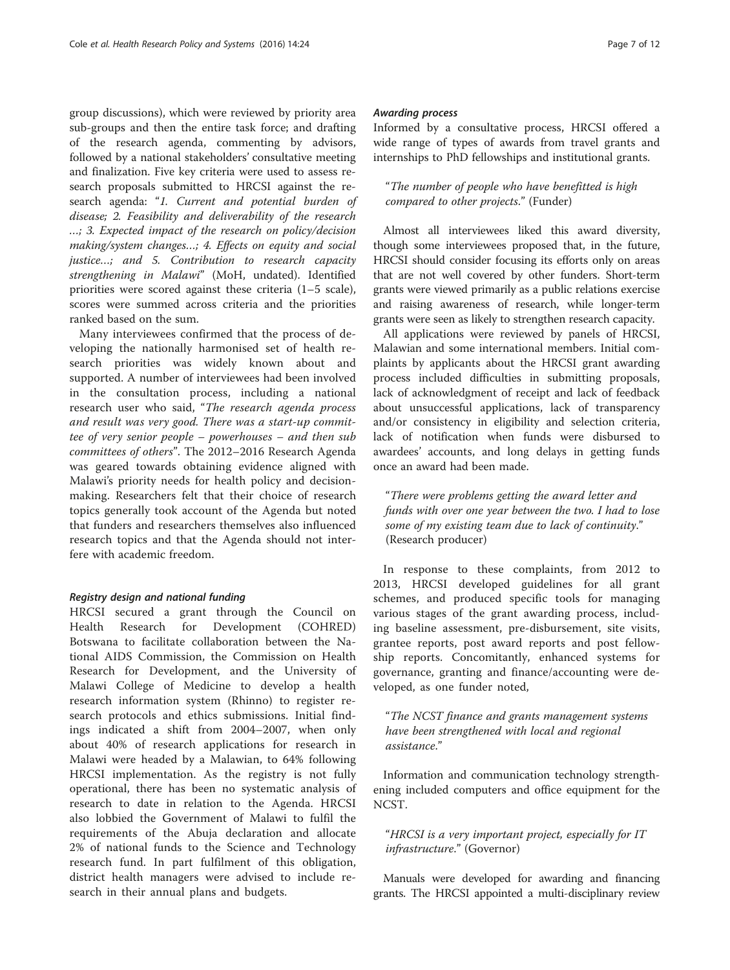group discussions), which were reviewed by priority area sub-groups and then the entire task force; and drafting of the research agenda, commenting by advisors, followed by a national stakeholders' consultative meeting and finalization. Five key criteria were used to assess research proposals submitted to HRCSI against the research agenda: "1. Current and potential burden of disease; 2. Feasibility and deliverability of the research …; 3. Expected impact of the research on policy/decision making/system changes…; 4. Effects on equity and social justice…; and 5. Contribution to research capacity strengthening in Malawi" (MoH, undated). Identified priorities were scored against these criteria (1–5 scale), scores were summed across criteria and the priorities ranked based on the sum.

Many interviewees confirmed that the process of developing the nationally harmonised set of health research priorities was widely known about and supported. A number of interviewees had been involved in the consultation process, including a national research user who said, "The research agenda process and result was very good. There was a start-up committee of very senior people – powerhouses – and then sub committees of others". The 2012–2016 Research Agenda was geared towards obtaining evidence aligned with Malawi's priority needs for health policy and decisionmaking. Researchers felt that their choice of research topics generally took account of the Agenda but noted that funders and researchers themselves also influenced research topics and that the Agenda should not interfere with academic freedom.

#### Registry design and national funding

HRCSI secured a grant through the Council on Health Research for Development (COHRED) Botswana to facilitate collaboration between the National AIDS Commission, the Commission on Health Research for Development, and the University of Malawi College of Medicine to develop a health research information system (Rhinno) to register research protocols and ethics submissions. Initial findings indicated a shift from 2004–2007, when only about 40% of research applications for research in Malawi were headed by a Malawian, to 64% following HRCSI implementation. As the registry is not fully operational, there has been no systematic analysis of research to date in relation to the Agenda. HRCSI also lobbied the Government of Malawi to fulfil the requirements of the Abuja declaration and allocate 2% of national funds to the Science and Technology research fund. In part fulfilment of this obligation, district health managers were advised to include research in their annual plans and budgets.

### Awarding process

Informed by a consultative process, HRCSI offered a wide range of types of awards from travel grants and internships to PhD fellowships and institutional grants.

## "The number of people who have benefitted is high compared to other projects." (Funder)

Almost all interviewees liked this award diversity, though some interviewees proposed that, in the future, HRCSI should consider focusing its efforts only on areas that are not well covered by other funders. Short-term grants were viewed primarily as a public relations exercise and raising awareness of research, while longer-term grants were seen as likely to strengthen research capacity.

All applications were reviewed by panels of HRCSI, Malawian and some international members. Initial complaints by applicants about the HRCSI grant awarding process included difficulties in submitting proposals, lack of acknowledgment of receipt and lack of feedback about unsuccessful applications, lack of transparency and/or consistency in eligibility and selection criteria, lack of notification when funds were disbursed to awardees' accounts, and long delays in getting funds once an award had been made.

"There were problems getting the award letter and funds with over one year between the two. I had to lose some of my existing team due to lack of continuity." (Research producer)

In response to these complaints, from 2012 to 2013, HRCSI developed guidelines for all grant schemes, and produced specific tools for managing various stages of the grant awarding process, including baseline assessment, pre-disbursement, site visits, grantee reports, post award reports and post fellowship reports. Concomitantly, enhanced systems for governance, granting and finance/accounting were developed, as one funder noted,

"The NCST finance and grants management systems have been strengthened with local and regional assistance."

Information and communication technology strengthening included computers and office equipment for the NCST.

"HRCSI is a very important project, especially for IT infrastructure." (Governor)

Manuals were developed for awarding and financing grants. The HRCSI appointed a multi-disciplinary review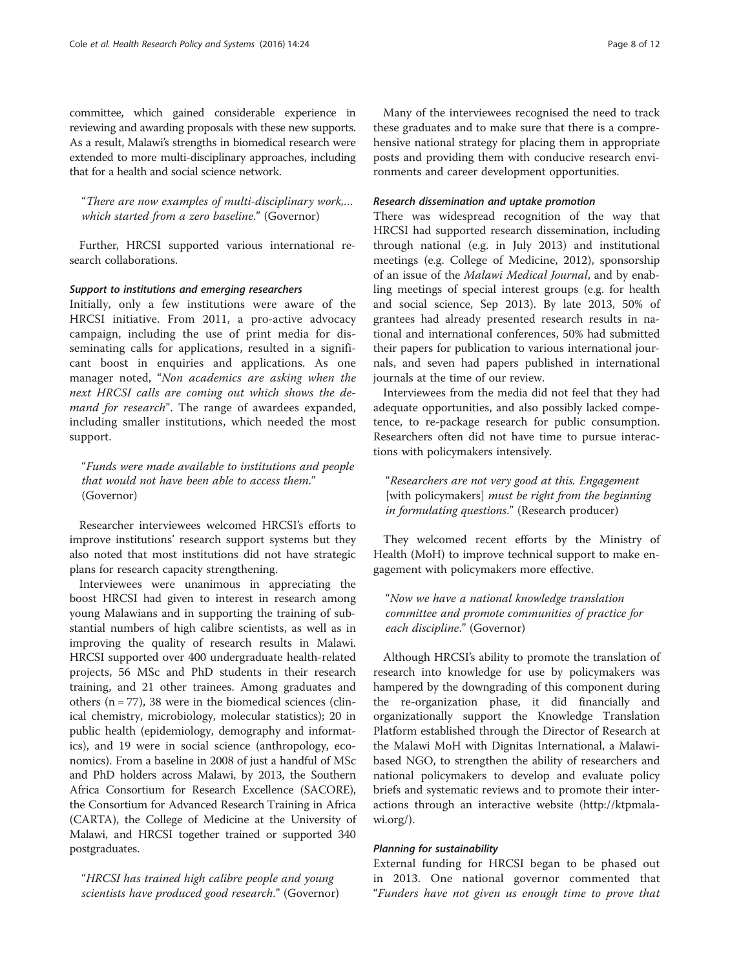committee, which gained considerable experience in reviewing and awarding proposals with these new supports. As a result, Malawi's strengths in biomedical research were extended to more multi-disciplinary approaches, including that for a health and social science network.

"There are now examples of multi-disciplinary work,… which started from a zero baseline." (Governor)

Further, HRCSI supported various international research collaborations.

#### Support to institutions and emerging researchers

Initially, only a few institutions were aware of the HRCSI initiative. From 2011, a pro-active advocacy campaign, including the use of print media for disseminating calls for applications, resulted in a significant boost in enquiries and applications. As one manager noted, "Non academics are asking when the next HRCSI calls are coming out which shows the demand for research". The range of awardees expanded, including smaller institutions, which needed the most support.

"Funds were made available to institutions and people that would not have been able to access them." (Governor)

Researcher interviewees welcomed HRCSI's efforts to improve institutions' research support systems but they also noted that most institutions did not have strategic plans for research capacity strengthening.

Interviewees were unanimous in appreciating the boost HRCSI had given to interest in research among young Malawians and in supporting the training of substantial numbers of high calibre scientists, as well as in improving the quality of research results in Malawi. HRCSI supported over 400 undergraduate health-related projects, 56 MSc and PhD students in their research training, and 21 other trainees. Among graduates and others  $(n = 77)$ , 38 were in the biomedical sciences (clinical chemistry, microbiology, molecular statistics); 20 in public health (epidemiology, demography and informatics), and 19 were in social science (anthropology, economics). From a baseline in 2008 of just a handful of MSc and PhD holders across Malawi, by 2013, the Southern Africa Consortium for Research Excellence (SACORE), the Consortium for Advanced Research Training in Africa (CARTA), the College of Medicine at the University of Malawi, and HRCSI together trained or supported 340 postgraduates.

"HRCSI has trained high calibre people and young scientists have produced good research." (Governor)

Many of the interviewees recognised the need to track these graduates and to make sure that there is a comprehensive national strategy for placing them in appropriate posts and providing them with conducive research environments and career development opportunities.

### Research dissemination and uptake promotion

There was widespread recognition of the way that HRCSI had supported research dissemination, including through national (e.g. in July 2013) and institutional meetings (e.g. College of Medicine, 2012), sponsorship of an issue of the Malawi Medical Journal, and by enabling meetings of special interest groups (e.g. for health and social science, Sep 2013). By late 2013, 50% of grantees had already presented research results in national and international conferences, 50% had submitted their papers for publication to various international journals, and seven had papers published in international journals at the time of our review.

Interviewees from the media did not feel that they had adequate opportunities, and also possibly lacked competence, to re-package research for public consumption. Researchers often did not have time to pursue interactions with policymakers intensively.

"Researchers are not very good at this. Engagement [with policymakers] must be right from the beginning in formulating questions." (Research producer)

They welcomed recent efforts by the Ministry of Health (MoH) to improve technical support to make engagement with policymakers more effective.

"Now we have a national knowledge translation committee and promote communities of practice for each discipline." (Governor)

Although HRCSI's ability to promote the translation of research into knowledge for use by policymakers was hampered by the downgrading of this component during the re-organization phase, it did financially and organizationally support the Knowledge Translation Platform established through the Director of Research at the Malawi MoH with Dignitas International, a Malawibased NGO, to strengthen the ability of researchers and national policymakers to develop and evaluate policy briefs and systematic reviews and to promote their interactions through an interactive website ([http://ktpmala](http://ktpmalawi.org/)[wi.org/](http://ktpmalawi.org/)).

### Planning for sustainability

External funding for HRCSI began to be phased out in 2013. One national governor commented that "Funders have not given us enough time to prove that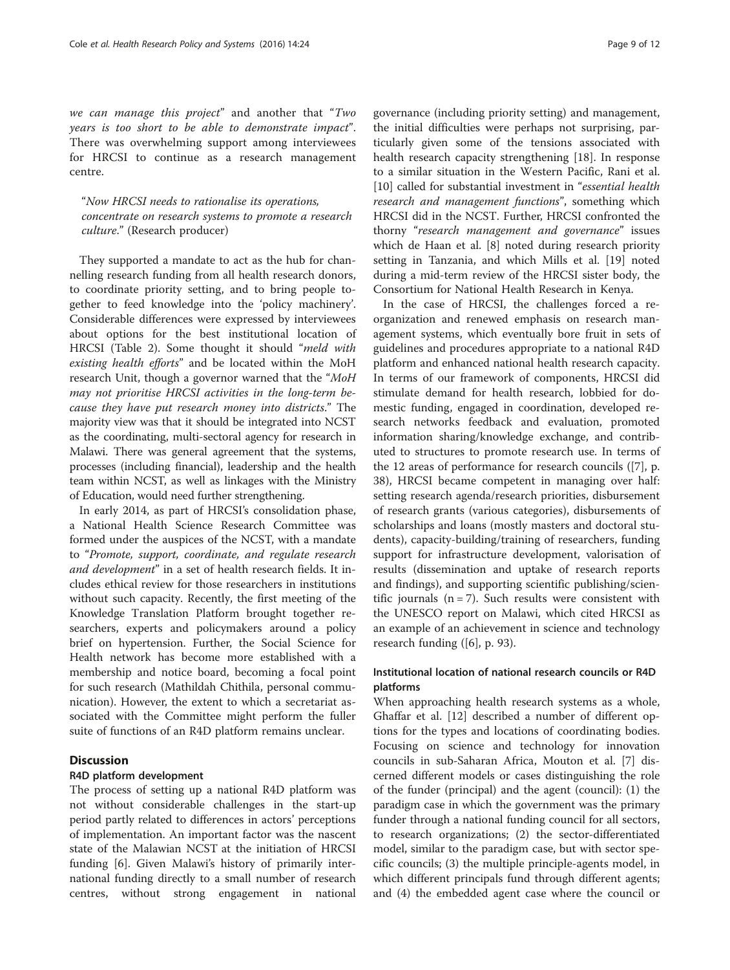we can manage this project" and another that "Two years is too short to be able to demonstrate impact". There was overwhelming support among interviewees for HRCSI to continue as a research management centre.

# "Now HRCSI needs to rationalise its operations, concentrate on research systems to promote a research culture." (Research producer)

They supported a mandate to act as the hub for channelling research funding from all health research donors, to coordinate priority setting, and to bring people together to feed knowledge into the 'policy machinery'. Considerable differences were expressed by interviewees about options for the best institutional location of HRCSI (Table [2\)](#page-5-0). Some thought it should "meld with existing health efforts" and be located within the MoH research Unit, though a governor warned that the "MoH may not prioritise HRCSI activities in the long-term because they have put research money into districts." The majority view was that it should be integrated into NCST as the coordinating, multi-sectoral agency for research in Malawi. There was general agreement that the systems, processes (including financial), leadership and the health team within NCST, as well as linkages with the Ministry of Education, would need further strengthening.

In early 2014, as part of HRCSI's consolidation phase, a National Health Science Research Committee was formed under the auspices of the NCST, with a mandate to "Promote, support, coordinate, and regulate research and development" in a set of health research fields. It includes ethical review for those researchers in institutions without such capacity. Recently, the first meeting of the Knowledge Translation Platform brought together researchers, experts and policymakers around a policy brief on hypertension. Further, the Social Science for Health network has become more established with a membership and notice board, becoming a focal point for such research (Mathildah Chithila, personal communication). However, the extent to which a secretariat associated with the Committee might perform the fuller suite of functions of an R4D platform remains unclear.

### **Discussion**

### R4D platform development

The process of setting up a national R4D platform was not without considerable challenges in the start-up period partly related to differences in actors' perceptions of implementation. An important factor was the nascent state of the Malawian NCST at the initiation of HRCSI funding [\[6](#page-11-0)]. Given Malawi's history of primarily international funding directly to a small number of research centres, without strong engagement in national

governance (including priority setting) and management, the initial difficulties were perhaps not surprising, particularly given some of the tensions associated with health research capacity strengthening [\[18](#page-11-0)]. In response to a similar situation in the Western Pacific, Rani et al. [[10\]](#page-11-0) called for substantial investment in "essential health" research and management functions", something which HRCSI did in the NCST. Further, HRCSI confronted the thorny "research management and governance" issues which de Haan et al. [\[8\]](#page-11-0) noted during research priority setting in Tanzania, and which Mills et al. [\[19](#page-11-0)] noted during a mid-term review of the HRCSI sister body, the Consortium for National Health Research in Kenya.

In the case of HRCSI, the challenges forced a reorganization and renewed emphasis on research management systems, which eventually bore fruit in sets of guidelines and procedures appropriate to a national R4D platform and enhanced national health research capacity. In terms of our framework of components, HRCSI did stimulate demand for health research, lobbied for domestic funding, engaged in coordination, developed research networks feedback and evaluation, promoted information sharing/knowledge exchange, and contributed to structures to promote research use. In terms of the 12 areas of performance for research councils ([[7\]](#page-11-0), p. 38), HRCSI became competent in managing over half: setting research agenda/research priorities, disbursement of research grants (various categories), disbursements of scholarships and loans (mostly masters and doctoral students), capacity-building/training of researchers, funding support for infrastructure development, valorisation of results (dissemination and uptake of research reports and findings), and supporting scientific publishing/scientific journals  $(n = 7)$ . Such results were consistent with the UNESCO report on Malawi, which cited HRCSI as an example of an achievement in science and technology research funding ([[6](#page-11-0)], p. 93).

## Institutional location of national research councils or R4D platforms

When approaching health research systems as a whole, Ghaffar et al. [\[12](#page-11-0)] described a number of different options for the types and locations of coordinating bodies. Focusing on science and technology for innovation councils in sub-Saharan Africa, Mouton et al. [\[7](#page-11-0)] discerned different models or cases distinguishing the role of the funder (principal) and the agent (council): (1) the paradigm case in which the government was the primary funder through a national funding council for all sectors, to research organizations; (2) the sector-differentiated model, similar to the paradigm case, but with sector specific councils; (3) the multiple principle-agents model, in which different principals fund through different agents; and (4) the embedded agent case where the council or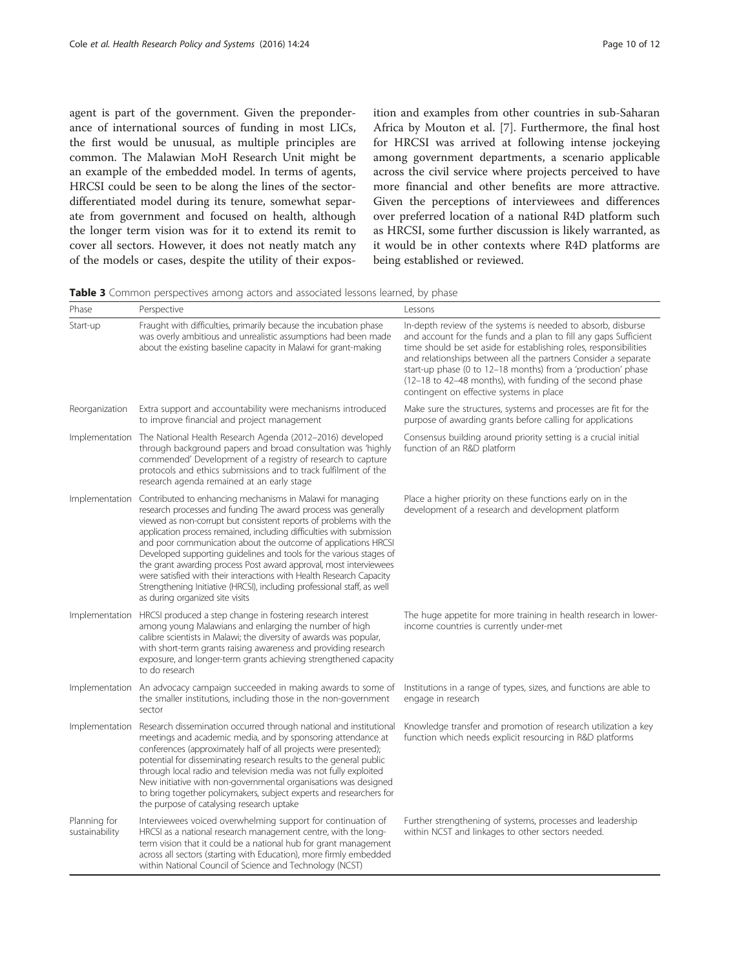<span id="page-9-0"></span>agent is part of the government. Given the preponderance of international sources of funding in most LICs, the first would be unusual, as multiple principles are common. The Malawian MoH Research Unit might be an example of the embedded model. In terms of agents, HRCSI could be seen to be along the lines of the sectordifferentiated model during its tenure, somewhat separate from government and focused on health, although the longer term vision was for it to extend its remit to cover all sectors. However, it does not neatly match any of the models or cases, despite the utility of their exposition and examples from other countries in sub-Saharan Africa by Mouton et al. [\[7\]](#page-11-0). Furthermore, the final host for HRCSI was arrived at following intense jockeying among government departments, a scenario applicable across the civil service where projects perceived to have more financial and other benefits are more attractive. Given the perceptions of interviewees and differences over preferred location of a national R4D platform such as HRCSI, some further discussion is likely warranted, as it would be in other contexts where R4D platforms are being established or reviewed.

Table 3 Common perspectives among actors and associated lessons learned, by phase

| Phase                          | Perspective                                                                                                                                                                                                                                                                                                                                                                                                                                                                                                                                                                                                                                                                   | Lessons                                                                                                                                                                                                                                                                                                                                                                                                                                          |
|--------------------------------|-------------------------------------------------------------------------------------------------------------------------------------------------------------------------------------------------------------------------------------------------------------------------------------------------------------------------------------------------------------------------------------------------------------------------------------------------------------------------------------------------------------------------------------------------------------------------------------------------------------------------------------------------------------------------------|--------------------------------------------------------------------------------------------------------------------------------------------------------------------------------------------------------------------------------------------------------------------------------------------------------------------------------------------------------------------------------------------------------------------------------------------------|
| Start-up                       | Fraught with difficulties, primarily because the incubation phase<br>was overly ambitious and unrealistic assumptions had been made<br>about the existing baseline capacity in Malawi for grant-making                                                                                                                                                                                                                                                                                                                                                                                                                                                                        | In-depth review of the systems is needed to absorb, disburse<br>and account for the funds and a plan to fill any gaps Sufficient<br>time should be set aside for establishing roles, responsibilities<br>and relationships between all the partners Consider a separate<br>start-up phase (0 to 12-18 months) from a 'production' phase<br>(12-18 to 42-48 months), with funding of the second phase<br>contingent on effective systems in place |
| Reorganization                 | Extra support and accountability were mechanisms introduced<br>to improve financial and project management                                                                                                                                                                                                                                                                                                                                                                                                                                                                                                                                                                    | Make sure the structures, systems and processes are fit for the<br>purpose of awarding grants before calling for applications                                                                                                                                                                                                                                                                                                                    |
| Implementation                 | The National Health Research Agenda (2012-2016) developed<br>through background papers and broad consultation was 'highly<br>commended' Development of a registry of research to capture<br>protocols and ethics submissions and to track fulfilment of the<br>research agenda remained at an early stage                                                                                                                                                                                                                                                                                                                                                                     | Consensus building around priority setting is a crucial initial<br>function of an R&D platform                                                                                                                                                                                                                                                                                                                                                   |
| Implementation                 | Contributed to enhancing mechanisms in Malawi for managing<br>research processes and funding The award process was generally<br>viewed as non-corrupt but consistent reports of problems with the<br>application process remained, including difficulties with submission<br>and poor communication about the outcome of applications HRCSI<br>Developed supporting guidelines and tools for the various stages of<br>the grant awarding process Post award approval, most interviewees<br>were satisfied with their interactions with Health Research Capacity<br>Strengthening Initiative (HRCSI), including professional staff, as well<br>as during organized site visits | Place a higher priority on these functions early on in the<br>development of a research and development platform                                                                                                                                                                                                                                                                                                                                 |
| Implementation                 | HRCSI produced a step change in fostering research interest<br>among young Malawians and enlarging the number of high<br>calibre scientists in Malawi; the diversity of awards was popular,<br>with short-term grants raising awareness and providing research<br>exposure, and longer-term grants achieving strengthened capacity<br>to do research                                                                                                                                                                                                                                                                                                                          | The huge appetite for more training in health research in lower-<br>income countries is currently under-met                                                                                                                                                                                                                                                                                                                                      |
|                                | Implementation An advocacy campaign succeeded in making awards to some of<br>the smaller institutions, including those in the non-government<br>sector                                                                                                                                                                                                                                                                                                                                                                                                                                                                                                                        | Institutions in a range of types, sizes, and functions are able to<br>engage in research                                                                                                                                                                                                                                                                                                                                                         |
| Implementation                 | Research dissemination occurred through national and institutional<br>meetings and academic media, and by sponsoring attendance at<br>conferences (approximately half of all projects were presented);<br>potential for disseminating research results to the general public<br>through local radio and television media was not fully exploited<br>New initiative with non-governmental organisations was designed<br>to bring together policymakers, subject experts and researchers for<br>the purpose of catalysing research uptake                                                                                                                                       | Knowledge transfer and promotion of research utilization a key<br>function which needs explicit resourcing in R&D platforms                                                                                                                                                                                                                                                                                                                      |
| Planning for<br>sustainability | Interviewees voiced overwhelming support for continuation of<br>HRCSI as a national research management centre, with the long-<br>term vision that it could be a national hub for grant management<br>across all sectors (starting with Education), more firmly embedded<br>within National Council of Science and Technology (NCST)                                                                                                                                                                                                                                                                                                                                          | Further strengthening of systems, processes and leadership<br>within NCST and linkages to other sectors needed.                                                                                                                                                                                                                                                                                                                                  |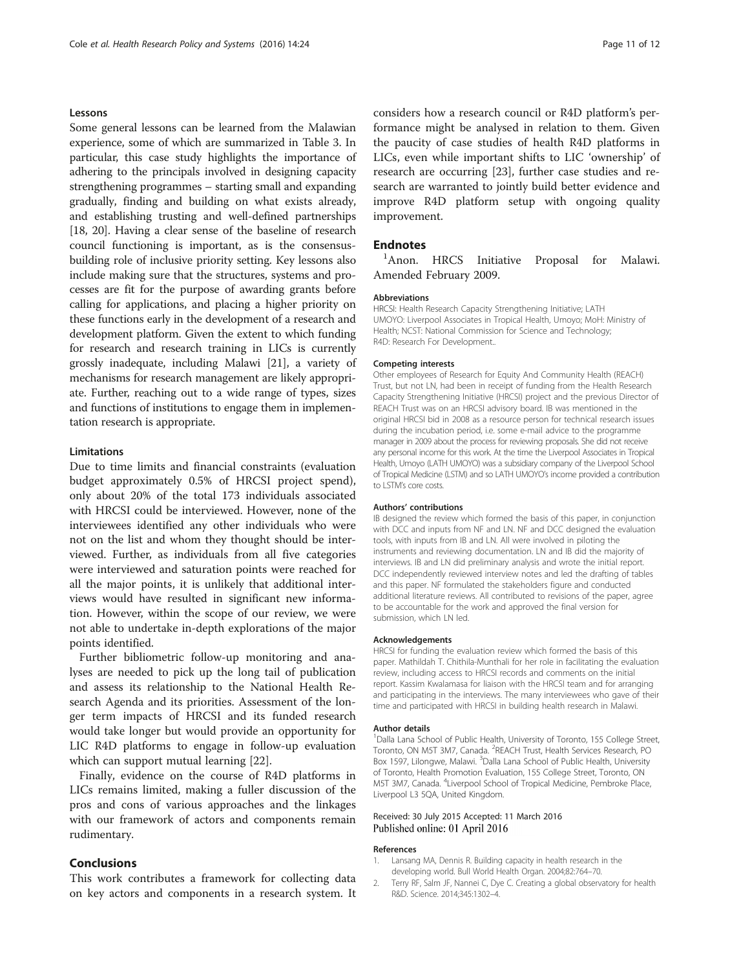### <span id="page-10-0"></span>Lessons

Some general lessons can be learned from the Malawian experience, some of which are summarized in Table [3.](#page-9-0) In particular, this case study highlights the importance of adhering to the principals involved in designing capacity strengthening programmes – starting small and expanding gradually, finding and building on what exists already, and establishing trusting and well-defined partnerships [[18](#page-11-0), [20\]](#page-11-0). Having a clear sense of the baseline of research council functioning is important, as is the consensusbuilding role of inclusive priority setting. Key lessons also include making sure that the structures, systems and processes are fit for the purpose of awarding grants before calling for applications, and placing a higher priority on these functions early in the development of a research and development platform. Given the extent to which funding for research and research training in LICs is currently grossly inadequate, including Malawi [\[21\]](#page-11-0), a variety of mechanisms for research management are likely appropriate. Further, reaching out to a wide range of types, sizes and functions of institutions to engage them in implementation research is appropriate.

#### Limitations

Due to time limits and financial constraints (evaluation budget approximately 0.5% of HRCSI project spend), only about 20% of the total 173 individuals associated with HRCSI could be interviewed. However, none of the interviewees identified any other individuals who were not on the list and whom they thought should be interviewed. Further, as individuals from all five categories were interviewed and saturation points were reached for all the major points, it is unlikely that additional interviews would have resulted in significant new information. However, within the scope of our review, we were not able to undertake in-depth explorations of the major points identified.

Further bibliometric follow-up monitoring and analyses are needed to pick up the long tail of publication and assess its relationship to the National Health Research Agenda and its priorities. Assessment of the longer term impacts of HRCSI and its funded research would take longer but would provide an opportunity for LIC R4D platforms to engage in follow-up evaluation which can support mutual learning [[22\]](#page-11-0).

Finally, evidence on the course of R4D platforms in LICs remains limited, making a fuller discussion of the pros and cons of various approaches and the linkages with our framework of actors and components remain rudimentary.

## Conclusions

This work contributes a framework for collecting data on key actors and components in a research system. It considers how a research council or R4D platform's performance might be analysed in relation to them. Given the paucity of case studies of health R4D platforms in LICs, even while important shifts to LIC 'ownership' of research are occurring [[23](#page-11-0)], further case studies and research are warranted to jointly build better evidence and improve R4D platform setup with ongoing quality improvement.

#### **Endnotes**

<sup>1</sup>Anon. HRCS Initiative Proposal for Malawi. Amended February 2009.

#### Abbreviations

HRCSI: Health Research Capacity Strengthening Initiative; LATH UMOYO: Liverpool Associates in Tropical Health, Umoyo; MoH: Ministry of Health; NCST: National Commission for Science and Technology; R4D: Research For Development..

#### Competing interests

Other employees of Research for Equity And Community Health (REACH) Trust, but not LN, had been in receipt of funding from the Health Research Capacity Strengthening Initiative (HRCSI) project and the previous Director of REACH Trust was on an HRCSI advisory board. IB was mentioned in the original HRCSI bid in 2008 as a resource person for technical research issues during the incubation period, i.e. some e-mail advice to the programme manager in 2009 about the process for reviewing proposals. She did not receive any personal income for this work. At the time the Liverpool Associates in Tropical Health, Umovo (LATH UMOYO) was a subsidiary company of the Liverpool School of Tropical Medicine (LSTM) and so LATH UMOYO's income provided a contribution to LSTM's core costs.

#### Authors' contributions

IB designed the review which formed the basis of this paper, in conjunction with DCC and inputs from NF and LN. NF and DCC designed the evaluation tools, with inputs from IB and LN. All were involved in piloting the instruments and reviewing documentation. LN and IB did the majority of interviews. IB and LN did preliminary analysis and wrote the initial report. DCC independently reviewed interview notes and led the drafting of tables and this paper. NF formulated the stakeholders figure and conducted additional literature reviews. All contributed to revisions of the paper, agree to be accountable for the work and approved the final version for submission, which LN led.

#### Acknowledgements

HRCSI for funding the evaluation review which formed the basis of this paper. Mathildah T. Chithila-Munthali for her role in facilitating the evaluation review, including access to HRCSI records and comments on the initial report. Kassim Kwalamasa for liaison with the HRCSI team and for arranging and participating in the interviews. The many interviewees who gave of their time and participated with HRCSI in building health research in Malawi.

#### Author details

<sup>1</sup>Dalla Lana School of Public Health, University of Toronto, 155 College Street, Toronto, ON M5T 3M7, Canada. <sup>2</sup>REACH Trust, Health Services Research, PO Box 1597, Lilongwe, Malawi. <sup>3</sup>Dalla Lana School of Public Health, University of Toronto, Health Promotion Evaluation, 155 College Street, Toronto, ON M5T 3M7, Canada. <sup>4</sup>Liverpool School of Tropical Medicine, Pembroke Place, Liverpool L3 5QA, United Kingdom.

#### Received: 30 July 2015 Accepted: 11 March 2016 Published online: 01 April 2016

#### References

- 1. Lansang MA, Dennis R. Building capacity in health research in the developing world. Bull World Health Organ. 2004;82:764–70.
- 2. Terry RF, Salm JF, Nannei C, Dye C. Creating a global observatory for health R&D. Science. 2014;345:1302–4.